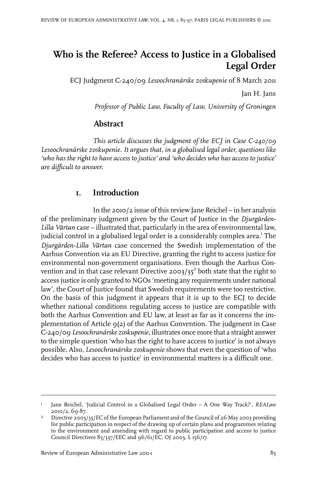# **Who is the Referee? Access to Justice in a Globalised Legal Order**

ECJ Judgment C-240/09 *Lesoochranárske zoskupenie* of 8 March 2011

Jan H. Jans

*Professor of Public Law, Faculty of Law, University of Groningen*

# **Abstract**

*This article discusses the judgment of the ECJ in Case C-240/09 Lesoochranárske zoskupenie. It argues that, in a globalised legal order, questions like 'who has the right to have access to justice' and 'who decides who has access to justice' are difficult to answer.*

# **1. Introduction**

In the 2010/2 issue of this review Jane Reichel – in her analysis of the preliminary judgment given by the Court of Justice in the *Djurgården-Lilla Värtan* case – illustrated that, particularly in the area of environmental law, judicial control in a globalised legal order is a considerably complex area.' The *Djurgården-Lilla Värtan* case concerned the Swedish implementation of the Aarhus Convention via an EU Directive, granting the right to access justice for environmental non-government organisations. Even though the Aarhus Convention and in that case relevant Directive 2003/35 $^{\text{2}}$  both state that the right to access justice is only granted to NGOs 'meeting any requirements under national law', the Court of Justice found that Swedish requirements were too restrictive. On the basis of this judgment it appears that it is up to the ECJ to decide whether national conditions regulating access to justice are compatible with both the Aarhus Convention and EU law, at least as far as it concerns the implementation of Article 9(2) of the Aarhus Convention. The judgment in Case C-240/09 *Lesoochranárske zoskupenie*, illustrates once more that a straight answer to the simple question 'who has the right to have access to justice' is not always possible. Also, *Lesoochranárske zoskupenie* shows that even the question of 'who decides who has access to justice' in environmental matters is a difficult one.

Jane Reichel, 'Judicial Control in a Globalised Legal Order – A One Way Track?', *REALaw* 2010/2, 69-87. 1

Directive 2003/35/EC of the European Parliament and of the Council of 26 May 2003 providing for public participation in respect of the drawing up of certain plans and programmes relating 2 to the environment and amending with regard to public participation and access to justice Council Directives 85/337/EEC and 96/61/EC, OJ 2003, L 156/17.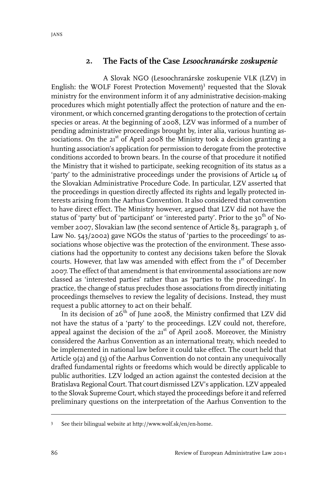#### **2. The Facts of the Case** *Lesoochranárske zoskupenie*

A Slovak NGO (Lesoochranárske zoskupenie VLK (LZV) in English: the WOLF Forest Protection Movement)<sup>3</sup> requested that the Slovak ministry for the environment inform it of any administrative decision-making procedures which might potentially affect the protection of nature and the environment, or which concerned granting derogations to the protection of certain species or areas. At the beginning of 2008, LZV was informed of a number of pending administrative proceedings brought by, inter alia, various hunting associations. On the  $21<sup>st</sup>$  of April 2008 the Ministry took a decision granting a hunting association's application for permission to derogate from the protective conditions accorded to brown bears. In the course of that procedure it notified the Ministry that it wished to participate, seeking recognition of its status as a 'party' to the administrative proceedings under the provisions of Article 14 of the Slovakian Administrative Procedure Code. In particular, LZV asserted that the proceedings in question directly affected its rights and legally protected interests arising from the Aarhus Convention. It also considered that convention to have direct effect. The Ministry however, argued that LZV did not have the status of 'party' but of 'participant' or 'interested party'. Prior to the 30<sup>th</sup> of November 2007, Slovakian law (the second sentence of Article 83, paragraph 3, of Law No. 543/2002) gave NGOs the status of 'parties to the proceedings' to associations whose objective was the protection of the environment. These associations had the opportunity to contest any decisions taken before the Slovak courts. However, that law was amended with effect from the 1<sup>st</sup> of December 2007. The effect of that amendment is that environmental associations are now classed as 'interested parties' rather than as 'parties to the proceedings'. In practice, the change of status precludes those associations from directly initiating proceedings themselves to review the legality of decisions. Instead, they must request a public attorney to act on their behalf.

In its decision of  $26<sup>th</sup>$  of June 2008, the Ministry confirmed that LZV did not have the status of a 'party' to the proceedings. LZV could not, therefore, appeal against the decision of the  $21<sup>st</sup>$  of April 2008. Moreover, the Ministry considered the Aarhus Convention as an international treaty, which needed to be implemented in national law before it could take effect. The court held that Article 9(2) and (3) of the Aarhus Convention do not contain any unequivocally drafted fundamental rights or freedoms which would be directly applicable to public authorities. LZV lodged an action against the contested decision at the Bratislava Regional Court. That court dismissed LZV's application. LZV appealed to the Slovak Supreme Court, which stayed the proceedings before it and referred preliminary questions on the interpretation of the Aarhus Convention to the

See their bilingual website at http://www.wolf.sk/en/en-home. <sup>3</sup>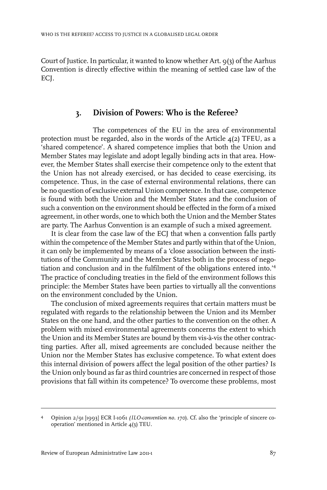Court of Justice. In particular, it wanted to know whether Art. 9(3) of the Aarhus Convention is directly effective within the meaning of settled case law of the ECI.

# **3. Division of Powers: Who is the Referee?**

The competences of the EU in the area of environmental protection must be regarded, also in the words of the Article  $4(2)$  TFEU, as a 'shared competence'. A shared competence implies that both the Union and Member States may legislate and adopt legally binding acts in that area. However, the Member States shall exercise their competence only to the extent that the Union has not already exercised, or has decided to cease exercising, its competence. Thus, in the case of external environmental relations, there can be no question of exclusive external Union competence. In that case, competence is found with both the Union and the Member States and the conclusion of such a convention on the environment should be effected in the form of a mixed agreement, in other words, one to which both the Union and the Member States are party. The Aarhus Convention is an example of such a mixed agreement.

It is clear from the case law of the ECI that when a convention falls partly within the competence of the Member States and partly within that of the Union, it can only be implemented by means of a 'close association between the institutions of the Community and the Member States both in the process of negotiation and conclusion and in the fulfilment of the obligations entered into.'<sup>4</sup> The practice of concluding treaties in the field of the environment follows this principle: the Member States have been parties to virtually all the conventions on the environment concluded by the Union.

The conclusion of mixed agreements requires that certain matters must be regulated with regards to the relationship between the Union and its Member States on the one hand, and the other parties to the convention on the other. A problem with mixed environmental agreements concerns the extent to which the Union and its Member States are bound by them vis-à-vis the other contracting parties. After all, mixed agreements are concluded because neither the Union nor the Member States has exclusive competence. To what extent does this internal division of powers affect the legal position of the other parties? Is the Union only bound as far as third countries are concerned in respect of those provisions that fall within its competence? To overcome these problems, most

Opinion 2/91 [1993] ECR I-1061 *(ILO-convention no. 170*). Cf. also the 'principle of sincere cooperation' mentioned in Article 4(3) TEU. 4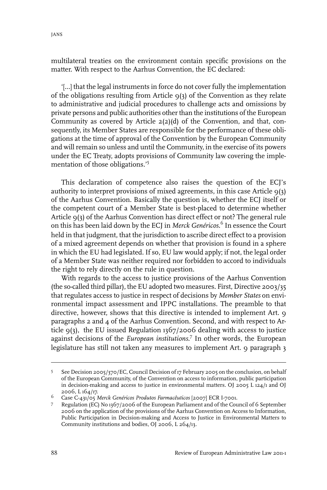multilateral treaties on the environment contain specific provisions on the matter. With respect to the Aarhus Convention, the EC declared:

'[…] that the legal instruments in force do not cover fully the implementation of the obligations resulting from Article 9(3) of the Convention as they relate to administrative and judicial procedures to challenge acts and omissions by private persons and public authorities other than the institutions of the European Community as covered by Article 2(2)(d) of the Convention, and that, consequently, its Member States are responsible for the performance of these obligations at the time of approval of the Convention by the European Community and will remain so unless and until the Community, in the exercise of its powers under the EC Treaty, adopts provisions of Community law covering the implementation of those obligations.'<sup>5</sup>

This declaration of competence also raises the question of the ECJ's authority to interpret provisions of mixed agreements, in this case Article  $9(3)$ of the Aarhus Convention. Basically the question is, whether the ECJ itself or the competent court of a Member State is best-placed to determine whether Article 9(3) of the Aarhus Convention has direct effect or not? The general rule on this has been laid down by the ECJ in *Merck Genéricos*. 6 In essence the Court held in that judgment, that the jurisdiction to ascribe direct effect to a provision of a mixed agreement depends on whether that provision is found in a sphere in which the EU had legislated. If so, EU law would apply; if not, the legal order of a Member State was neither required nor forbidden to accord to individuals the right to rely directly on the rule in question.

With regards to the access to justice provisions of the Aarhus Convention (the so-called third pillar), the EU adopted two measures. First, Directive 2003/35 that regulates access to justice in respect of decisions by *Member States* on environmental impact assessment and IPPC installations. The preamble to that directive, however, shows that this directive is intended to implement Art. 9 paragraphs 2 and 4 of the Aarhus Convention. Second, and with respect to Article 9(3), the EU issued Regulation 1367/2006 dealing with access to justice against decisions of the *European institutions*. 7 In other words, the European legislature has still not taken any measures to implement Art. 9 paragraph 3

See Decision 2005/370/EC, Council Decision of 17 February 2005 on the conclusion, on behalf of the European Community, of the Convention on access to information, public participation 5 in decision-making and access to justice in environmental matters. OJ 2005 L  $124/1$  and OJ 2006, L 164/17.

Case C-431/05 *Merck Genéricos Produtos Farmacêuticos* [2007] ECR I-7001. <sup>6</sup>

Regulation (EC) No 1367/2006 of the European Parliament and of the Council of 6 September 2006 on the application of the provisions of the Aarhus Convention on Access to Information, 7 Public Participation in Decision-making and Access to Justice in Environmental Matters to Community institutions and bodies, OJ 2006, L 264/13.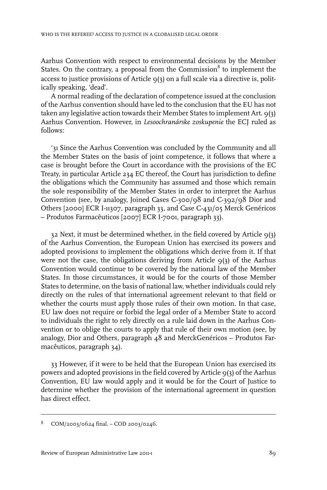Aarhus Convention with respect to environmental decisions by the Member States. On the contrary, a proposal from the Commission<sup>8</sup> to implement the access to justice provisions of Article  $9(3)$  on a full scale via a directive is, politically speaking, 'dead'.

A normal reading of the declaration of competence issued at the conclusion of the Aarhus convention should have led to the conclusion that the EU has not taken any legislative action towards their Member States to implement Art. 9(3) Aarhus Convention. However, in *Lesoochranárske zoskupenie* the ECJ ruled as follows:

'31 Since the Aarhus Convention was concluded by the Community and all the Member States on the basis of joint competence, it follows that where a case is brought before the Court in accordance with the provisions of the EC Treaty, in particular Article 234 EC thereof, the Court has jurisdiction to define the obligations which the Community has assumed and those which remain the sole responsibility of the Member States in order to interpret the Aarhus Convention (see, by analogy, Joined Cases C-300/98 and C-392/98 Dior and Others [2000] ECR I-11307, paragraph 33, and Case C-431/05 Merck Genéricos – Produtos Farmacêuticos [2007] ECR I-7001, paragraph 33).

32 Next, it must be determined whether, in the field covered by Article 9(3) of the Aarhus Convention, the European Union has exercised its powers and adopted provisions to implement the obligations which derive from it. If that were not the case, the obligations deriving from Article  $q(3)$  of the Aarhus Convention would continue to be covered by the national law of the Member States. In those circumstances, it would be for the courts of those Member States to determine, on the basis of national law, whether individuals could rely directly on the rules of that international agreement relevant to that field or whether the courts must apply those rules of their own motion. In that case, EU law does not require or forbid the legal order of a Member State to accord to individuals the right to rely directly on a rule laid down in the Aarhus Convention or to oblige the courts to apply that rule of their own motion (see, by analogy, Dior and Others, paragraph 48 and MerckGenéricos – Produtos Farmacêuticos, paragraph 34).

33 However, if it were to be held that the European Union has exercised its powers and adopted provisions in the field covered by Article 9(3) of the Aarhus Convention, EU law would apply and it would be for the Court of Justice to determine whether the provision of the international agreement in question has direct effect.

COM/2003/0624 final. – COD 2003/0246.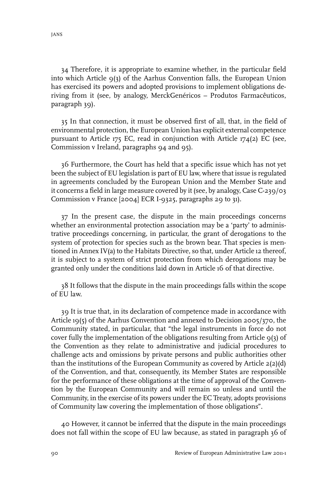34 Therefore, it is appropriate to examine whether, in the particular field into which Article 9(3) of the Aarhus Convention falls, the European Union has exercised its powers and adopted provisions to implement obligations deriving from it (see, by analogy, MerckGenéricos – Produtos Farmacêuticos, paragraph 39).

35 In that connection, it must be observed first of all, that, in the field of environmental protection, the European Union has explicit external competence pursuant to Article 175 EC, read in conjunction with Article 174(2) EC (see, Commission v Ireland, paragraphs 94 and 95).

36 Furthermore, the Court has held that a specific issue which has not yet been the subject of EU legislation is part of EU law, where that issue is regulated in agreements concluded by the European Union and the Member State and it concerns a field in large measure covered by it (see, by analogy, Case C-239/03 Commission v France [2004] ECR I-9325, paragraphs 29 to 31).

37 In the present case, the dispute in the main proceedings concerns whether an environmental protection association may be a 'party' to administrative proceedings concerning, in particular, the grant of derogations to the system of protection for species such as the brown bear. That species is mentioned in Annex IV(a) to the Habitats Directive, so that, under Article 12 thereof, it is subject to a system of strict protection from which derogations may be granted only under the conditions laid down in Article 16 of that directive.

38 It follows that the dispute in the main proceedings falls within the scope of EU law.

39 It is true that, in its declaration of competence made in accordance with Article 19(5) of the Aarhus Convention and annexed to Decision 2005/370, the Community stated, in particular, that "the legal instruments in force do not cover fully the implementation of the obligations resulting from Article 9(3) of the Convention as they relate to administrative and judicial procedures to challenge acts and omissions by private persons and public authorities other than the institutions of the European Community as covered by Article 2(2)(d) of the Convention, and that, consequently, its Member States are responsible for the performance of these obligations at the time of approval of the Convention by the European Community and will remain so unless and until the Community, in the exercise of its powers under the EC Treaty, adopts provisions of Community law covering the implementation of those obligations".

40 However, it cannot be inferred that the dispute in the main proceedings does not fall within the scope of EU law because, as stated in paragraph 36 of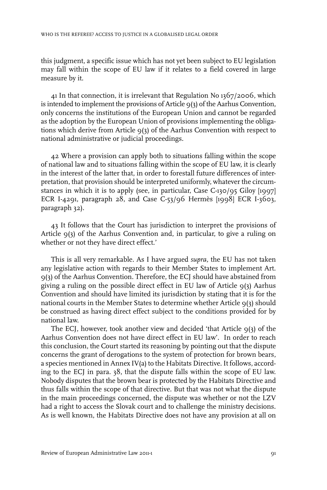this judgment, a specific issue which has not yet been subject to EU legislation may fall within the scope of EU law if it relates to a field covered in large measure by it.

41 In that connection, it is irrelevant that Regulation No 1367/2006, which is intended to implement the provisions of Article 9(3) of the Aarhus Convention, only concerns the institutions of the European Union and cannot be regarded as the adoption by the European Union of provisions implementing the obligations which derive from Article 9(3) of the Aarhus Convention with respect to national administrative or judicial proceedings.

42 Where a provision can apply both to situations falling within the scope of national law and to situations falling within the scope of EU law, it is clearly in the interest of the latter that, in order to forestall future differences of interpretation, that provision should be interpreted uniformly, whatever the circumstances in which it is to apply (see, in particular, Case C-130/95 Giloy [1997] ECR I-4291, paragraph 28, and Case C-53/96 Hermès [1998] ECR I-3603, paragraph 32).

43 It follows that the Court has jurisdiction to interpret the provisions of Article 9(3) of the Aarhus Convention and, in particular, to give a ruling on whether or not they have direct effect.'

This is all very remarkable. As I have argued *supra,* the EU has not taken any legislative action with regards to their Member States to implement Art. 9(3) of the Aarhus Convention. Therefore, the ECJ should have abstained from giving a ruling on the possible direct effect in EU law of Article 9(3) Aarhus Convention and should have limited its jurisdiction by stating that it is for the national courts in the Member States to determine whether Article 9(3) should be construed as having direct effect subject to the conditions provided for by national law.

The ECJ, however, took another view and decided 'that Article 9(3) of the Aarhus Convention does not have direct effect in EU law'. In order to reach this conclusion, the Court started its reasoning by pointing out that the dispute concerns the grant of derogations to the system of protection for brown bears, a species mentioned in Annex IV(a) to the Habitats Directive.It follows, according to the ECJ in para. 38, that the dispute falls within the scope of EU law. Nobody disputes that the brown bear is protected by the Habitats Directive and thus falls within the scope of that directive. But that was not what the dispute in the main proceedings concerned, the dispute was whether or not the LZV had a right to access the Slovak court and to challenge the ministry decisions. As is well known, the Habitats Directive does not have any provision at all on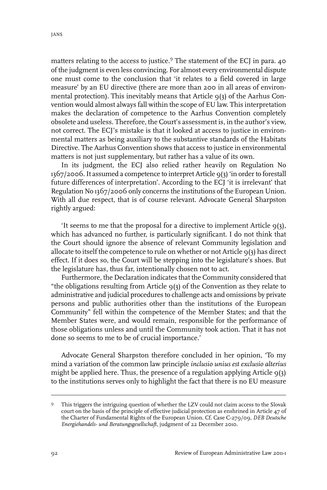matters relating to the access to justice.<sup>9</sup> The statement of the ECJ in para. 40 of the judgment is even less convincing. For almost every environmental dispute one must come to the conclusion that 'it relates to a field covered in large measure' by an EU directive (there are more than 200 in all areas of environmental protection). This inevitably means that Article 9(3) of the Aarhus Convention would almost always fall within the scope of EU law. This interpretation makes the declaration of competence to the Aarhus Convention completely obsolete and useless. Therefore, the Court's assessment is, in the author's view, not correct. The ECJ's mistake is that it looked at access to justice in environmental matters as being auxiliary to the substantive standards of the Habitats Directive. The Aarhus Convention shows that access to justice in environmental matters is not just supplementary, but rather has a value of its own.

In its judgment, the ECJ also relied rather heavily on Regulation No 1367/2006.It assumed a competence to interpret Article 9(3) 'in orderto forestall future differences of interpretation'. According to the ECJ 'it is irrelevant' that Regulation No 1367/2006 only concerns the institutions of the European Union. With all due respect, that is of course relevant. Advocate General Sharpston rightly argued:

'It seems to me that the proposal for a directive to implement Article  $q(3)$ , which has advanced no further, is particularly significant. I do not think that the Court should ignore the absence of relevant Community legislation and allocate to itself the competence to rule on whether or not Article  $q(3)$  has direct effect. If it does so, the Court will be stepping into the legislature's shoes. But the legislature has, thus far, intentionally chosen not to act.

Furthermore, the Declaration indicates that the Community considered that "the obligations resulting from Article 9(3) of the Convention as they relate to administrative and judicial procedures to challenge acts and omissions by private persons and public authorities other than the institutions of the European Community" fell within the competence of the Member States; and that the Member States were, and would remain, responsible for the performance of those obligations unless and until the Community took action. That it has not done so seems to me to be of crucial importance.'

Advocate General Sharpston therefore concluded in her opinion, 'To my mind a variation of the common law principle *inclusio unius est exclusio alterius* might be applied here. Thus, the presence of a regulation applying Article  $9(3)$ to the institutions serves only to highlight the fact that there is no EU measure

This triggers the intriguing question of whether the LZV could not claim access to the Slovak court on the basis of the principle of effective judicial protection as enshrined in Article 47 of 9 the Charter of Fundamental Rights of the European Union. Cf. Case C-279/09, *DEB Deutsche Energiehandels- und Beratungsgesellschaft*, judgment of 22 December 2010.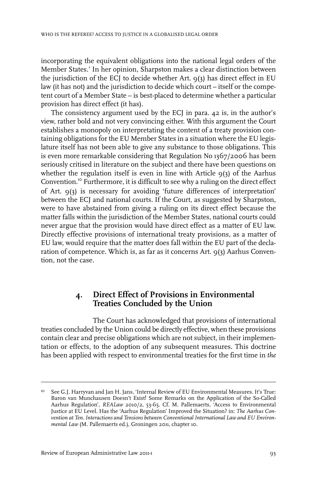incorporating the equivalent obligations into the national legal orders of the Member States.' In her opinion, Sharpston makes a clear distinction between the jurisdiction of the ECJ to decide whether Art. 9(3) has direct effect in EU law (it has not) and the jurisdiction to decide which court – itself or the competent court of a Member State – is best-placed to determine whether a particular provision has direct effect (it has).

The consistency argument used by the ECJ in para. 42 is, in the author's view, rather bold and not very convincing either. With this argument the Court establishes a monopoly on interpretating the content of a treaty provision containing obligations for the EU Member States in a situation where the EU legislature itself has not been able to give any substance to those obligations. This is even more remarkable considering that Regulation No 1367/2006 has been seriously critised in literature on the subject and there have been questions on whether the regulation itself is even in line with Article  $q(3)$  of the Aarhus Convention.<sup>10</sup> Furthermore, it is difficult to see why a ruling on the direct effect of Art. 9(3) is necessary for avoiding 'future differences of interpretation' between the ECJ and national courts. If the Court, as suggested by Sharpston, were to have abstained from giving a ruling on its direct effect because the matter falls within the jurisdiction of the Member States, national courts could never argue that the provision would have direct effect as a matter of EU law. Directly effective provisions of international treaty provisions, as a matter of EU law, would require that the matter does fall within the EU part of the declaration of competence. Which is, as far as it concerns Art. 9(3) Aarhus Convention, not the case.

### **4. Direct Effect of Provisions in Environmental Treaties Concluded by the Union**

The Court has acknowledged that provisions of international treaties concluded by the Union could be directly effective, when these provisions contain clear and precise obligations which are not subject, in their implementation or effects, to the adoption of any subsequent measures. This doctrine has been applied with respect to environmental treaties for the first time in *the*

See G.J. Harryvan and Jan H. Jans, 'Internal Review of EU Environmental Measures.It's True: Baron van Munchausen Doesn't Exist! Some Remarks on the Application of the So-Called 10 Aarhus Regulation', *REALaw* 2010/2, 53-65. Cf. M. Pallemaerts, 'Access to Environmental Justice at EU Level. Has the 'Aarhus Regulation'Improved the Situation? in: *The Aarhus Convention at Ten. Interactions and Tensions between Conventional International Law and EU Environmental Law* (M. Pallemaerts ed.), Groningen 2011, chapter 10.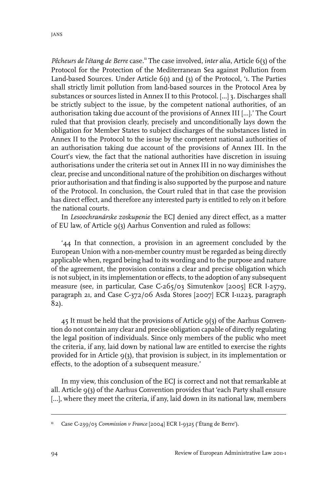*Pêcheurs de l'étang de Berre* case.<sup>11</sup> The case involved, *inter alia*, Article 6(3) of the Protocol for the Protection of the Mediterranean Sea against Pollution from Land-based Sources. Under Article 6(1) and (3) of the Protocol, '1. The Parties shall strictly limit pollution from land-based sources in the Protocol Area by substances or sources listed in Annex II to this Protocol. [...] 3. Discharges shall be strictly subject to the issue, by the competent national authorities, of an authorisation taking due account of the provisions of Annex III [...].' The Court ruled that that provision clearly, precisely and unconditionally lays down the obligation for Member States to subject discharges of the substances listed in Annex II to the Protocol to the issue by the competent national authorities of an authorisation taking due account of the provisions of Annex III. In the Court's view, the fact that the national authorities have discretion in issuing authorisations under the criteria set out in Annex III in no way diminishes the clear, precise and unconditional nature of the prohibition on discharges without prior authorisation and that finding is also supported by the purpose and nature of the Protocol. In conclusion, the Court ruled that in that case the provision has direct effect, and therefore any interested party is entitled to rely on it before the national courts.

In *Lesoochranárske zoskupenie* the ECJ denied any direct effect, as a matter of EU law, of Article 9(3) Aarhus Convention and ruled as follows:

'44 In that connection, a provision in an agreement concluded by the European Union with a non-member country must be regarded as being directly applicable when, regard being had to its wording and to the purpose and nature of the agreement, the provision contains a clear and precise obligation which is not subject, in its implementation or effects, to the adoption of any subsequent measure (see, in particular, Case C-265/03 Simutenkov [2005] ECR I-2579, paragraph 21, and Case C-372/06 Asda Stores [2007] ECR I-11223, paragraph 82).

45 It must be held that the provisions of Article  $9(3)$  of the Aarhus Convention do not contain any clear and precise obligation capable of directly regulating the legal position of individuals. Since only members of the public who meet the criteria, if any, laid down by national law are entitled to exercise the rights provided for in Article 9(3), that provision is subject, in its implementation or effects, to the adoption of a subsequent measure.'

In my view, this conclusion of the ECJ is correct and not that remarkable at all. Article 9(3) of the Aarhus Convention provides that 'each Party shall ensure [...], where they meet the criteria, if any, laid down in its national law, members

<sup>&</sup>lt;sup>11</sup> Case C-239/03 *Commission v France* [2004] ECR I-9325 ('Étang de Berre').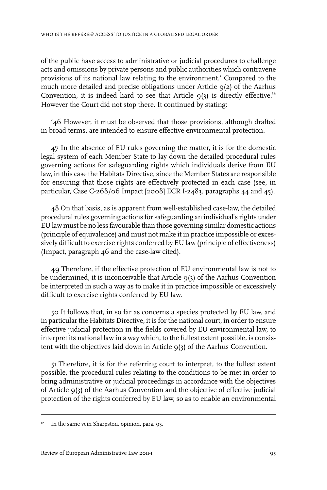of the public have access to administrative or judicial procedures to challenge acts and omissions by private persons and public authorities which contravene provisions of its national law relating to the environment.' Compared to the much more detailed and precise obligations under Article 9(2) of the Aarhus Convention, it is indeed hard to see that Article  $q(3)$  is directly effective.<sup>12</sup> However the Court did not stop there. It continued by stating:

'46 However, it must be observed that those provisions, although drafted in broad terms, are intended to ensure effective environmental protection.

47 In the absence of EU rules governing the matter, it is for the domestic legal system of each Member State to lay down the detailed procedural rules governing actions for safeguarding rights which individuals derive from EU law, in this case the Habitats Directive, since the Member States are responsible for ensuring that those rights are effectively protected in each case (see, in particular, Case C-268/06 Impact [2008] ECR I-2483, paragraphs 44 and 45).

48 On that basis, as is apparent from well-established case-law, the detailed procedural rules governing actions for safeguarding an individual's rights under EU law must be no less favourable than those governing similar domestic actions (principle of equivalence) and must not make it in practice impossible or excessively difficult to exercise rights conferred by EU law (principle of effectiveness) (Impact, paragraph 46 and the case-law cited).

49 Therefore, if the effective protection of EU environmental law is not to be undermined, it is inconceivable that Article  $q(3)$  of the Aarhus Convention be interpreted in such a way as to make it in practice impossible or excessively difficult to exercise rights conferred by EU law.

50 It follows that, in so far as concerns a species protected by EU law, and in particular the Habitats Directive, it is for the national court, in order to ensure effective judicial protection in the fields covered by EU environmental law, to interpret its national law in a way which, to the fullest extent possible, is consistent with the objectives laid down in Article  $9(3)$  of the Aarhus Convention.

51 Therefore, it is for the referring court to interpret, to the fullest extent possible, the procedural rules relating to the conditions to be met in order to bring administrative or judicial proceedings in accordance with the objectives of Article 9(3) of the Aarhus Convention and the objective of effective judicial protection of the rights conferred by EU law, so as to enable an environmental

<sup>&</sup>lt;sup>12</sup> In the same vein Sharpston, opinion, para. 93.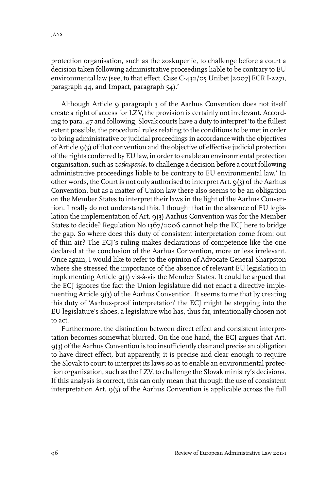protection organisation, such as the zoskupenie, to challenge before a court a decision taken following administrative proceedings liable to be contrary to EU environmental law (see, to that effect, Case C-432/05 Unibet [2007] ECR I-2271, paragraph 44, and Impact, paragraph 54).'

Although Article 9 paragraph 3 of the Aarhus Convention does not itself create a right of access for LZV, the provision is certainly not irrelevant. According to para. 47 and following, Slovak courts have a duty to interpret 'to the fullest extent possible, the procedural rules relating to the conditions to be met in order to bring administrative or judicial proceedings in accordance with the objectives of Article 9(3) of that convention and the objective of effective judicial protection of the rights conferred by EU law, in order to enable an environmental protection organisation, such as *zoskupenie*, to challenge a decision before a court following administrative proceedings liable to be contrary to EU environmental law.' In other words, the Court is not only authorised to interpret Art. 9(3) of the Aarhus Convention, but as a matter of Union law there also seems to be an obligation on the Member States to interpret their laws in the light of the Aarhus Convention. I really do not understand this. I thought that in the absence of EU legislation the implementation of Art. 9(3) Aarhus Convention was for the Member States to decide? Regulation No 1367/2006 cannot help the ECJ here to bridge the gap. So where does this duty of consistent interpretation come from: out of thin air? The ECJ's ruling makes declarations of competence like the one declared at the conclusion of the Aarhus Convention, more or less irrelevant. Once again, I would like to refer to the opinion of Advocate General Sharpston where she stressed the importance of the absence of relevant EU legislation in implementing Article 9(3) vis-à-vis the Member States. It could be argued that the ECJ ignores the fact the Union legislature did not enact a directive implementing Article 9(3) of the Aarhus Convention. It seems to me that by creating this duty of 'Aarhus-proof interpretation' the ECJ might be stepping into the EU legislature's shoes, a legislature who has, thus far, intentionally chosen not to act.

Furthermore, the distinction between direct effect and consistent interpretation becomes somewhat blurred. On the one hand, the ECJ argues that Art. 9(3) of the Aarhus Convention is too insufficiently clear and precise an obligation to have direct effect, but apparently, it is precise and clear enough to require the Slovak to court to interpret its laws so as to enable an environmental protection organisation, such as the LZV, to challenge the Slovak ministry's decisions. If this analysis is correct, this can only mean that through the use of consistent interpretation Art. 9(3) of the Aarhus Convention is applicable across the full